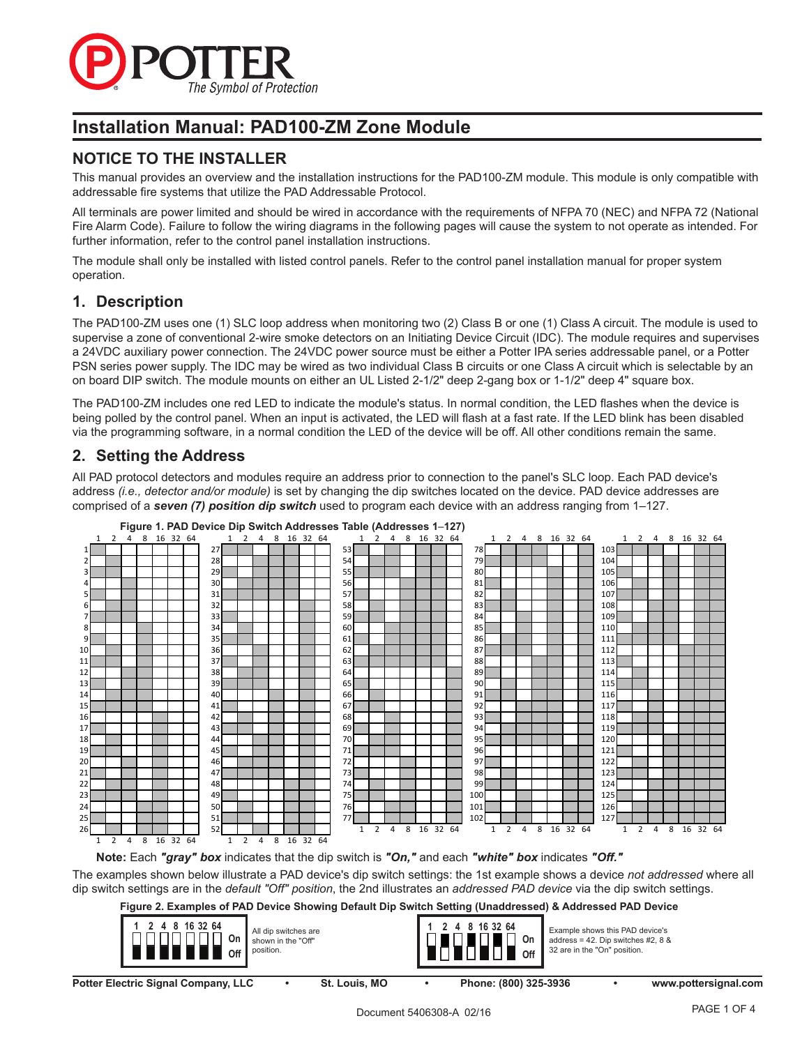

# **Installation Manual: PAD100-ZM Zone Module**

# **NOTICE TO THE INSTALLER**

This manual provides an overview and the installation instructions for the PAD100-ZM module. This module is only compatible with addressable fire systems that utilize the PAD Addressable Protocol.

All terminals are power limited and should be wired in accordance with the requirements of NFPA 70 (NEC) and NFPA 72 (National Fire Alarm Code). Failure to follow the wiring diagrams in the following pages will cause the system to not operate as intended. For further information, refer to the control panel installation instructions.

The module shall only be installed with listed control panels. Refer to the control panel installation manual for proper system operation.

# **1. Description**

The PAD100-ZM uses one (1) SLC loop address when monitoring two (2) Class B or one (1) Class A circuit. The module is used to supervise a zone of conventional 2-wire smoke detectors on an Initiating Device Circuit (IDC). The module requires and supervises a 24VDC auxiliary power connection. The 24VDC power source must be either a Potter IPA series addressable panel, or a Potter PSN series power supply. The IDC may be wired as two individual Class B circuits or one Class A circuit which is selectable by an on board DIP switch. The module mounts on either an UL Listed 2-1/2" deep 2-gang box or 1-1/2" deep 4" square box.

The PAD100-ZM includes one red LED to indicate the module's status. In normal condition, the LED flashes when the device is being polled by the control panel. When an input is activated, the LED will flash at a fast rate. If the LED blink has been disabled via the programming software, in a normal condition the LED of the device will be off. All other conditions remain the same.

# **2. Setting the Address**

All PAD protocol detectors and modules require an address prior to connection to the panel's SLC loop. Each PAD device's address *(i.e., detector and/or module)* is set by changing the dip switches located on the device. PAD device addresses are comprised of a *seven (7) position dip switch* used to program each device with an address ranging from 1–127.



**Note:** Each *"gray" box* indicates that the dip switch is *"On,"* and each *"white" box* indicates *"Off."* The examples shown below illustrate a PAD device's dip switch settings: the 1st example shows a device *not addressed* where all dip switch settings are in the *default "Off" position*, the 2nd illustrates an *addressed PAD device* via the dip switch settings.

**Figure 2. Examples of PAD Device Showing Default Dip Switch Setting (Unaddressed) & Addressed PAD Device**

| 4 8 16 32 64<br>All dip switches are<br>On<br>shown in the "Off"<br>position.<br>Off |               | 8 16 32 64<br>On<br>Off | Example shows this PAD device's<br>address = 42. Dip switches $#2, 8 \&$<br>32 are in the "On" position. |                      |
|--------------------------------------------------------------------------------------|---------------|-------------------------|----------------------------------------------------------------------------------------------------------|----------------------|
| <b>Potter Electric Signal Company, LLC</b>                                           | St. Louis, MO | Phone: (800) 325-3936   |                                                                                                          | www.pottersignal.com |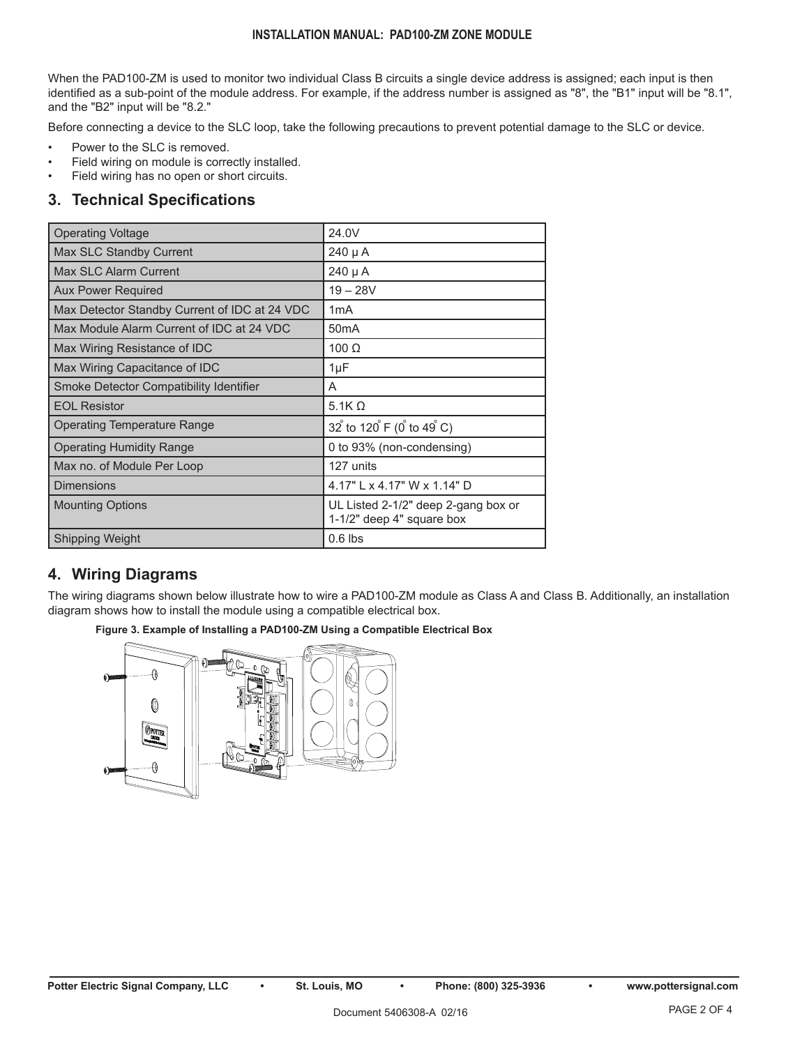### **INSTALLATION MANUAL: PAD100-ZM ZONE MODULE**

When the PAD100-ZM is used to monitor two individual Class B circuits a single device address is assigned; each input is then identified as a sub-point of the module address. For example, if the address number is assigned as "8", the "B1" input will be "8.1", and the "B2" input will be "8.2."

Before connecting a device to the SLC loop, take the following precautions to prevent potential damage to the SLC or device.

- Power to the SLC is removed.
- Field wiring on module is correctly installed.
- Field wiring has no open or short circuits.

### **3. Technical Specifications**

| <b>Operating Voltage</b>                      | 24.0V                                                            |
|-----------------------------------------------|------------------------------------------------------------------|
| Max SLC Standby Current                       | 240 µ A                                                          |
| <b>Max SLC Alarm Current</b>                  | 240 µ A                                                          |
| <b>Aux Power Required</b>                     | $19 - 28V$                                                       |
| Max Detector Standby Current of IDC at 24 VDC | 1mA                                                              |
| Max Module Alarm Current of IDC at 24 VDC     | 50 <sub>m</sub> A                                                |
| Max Wiring Resistance of IDC                  | 100 $\Omega$                                                     |
| Max Wiring Capacitance of IDC                 | $1\mu F$                                                         |
| Smoke Detector Compatibility Identifier       | A                                                                |
| <b>EOL Resistor</b>                           | 5.1K $\Omega$                                                    |
| Operating Temperature Range                   | 32 to 120 F (0 to 49 C)                                          |
| <b>Operating Humidity Range</b>               | 0 to 93% (non-condensing)                                        |
| Max no. of Module Per Loop                    | 127 units                                                        |
| <b>Dimensions</b>                             | 4.17" L x 4.17" W x 1.14" D                                      |
| <b>Mounting Options</b>                       | UL Listed 2-1/2" deep 2-gang box or<br>1-1/2" deep 4" square box |
| <b>Shipping Weight</b>                        | $0.6$ lbs                                                        |

# **4. Wiring Diagrams**

The wiring diagrams shown below illustrate how to wire a PAD100-ZM module as Class A and Class B. Additionally, an installation diagram shows how to install the module using a compatible electrical box.



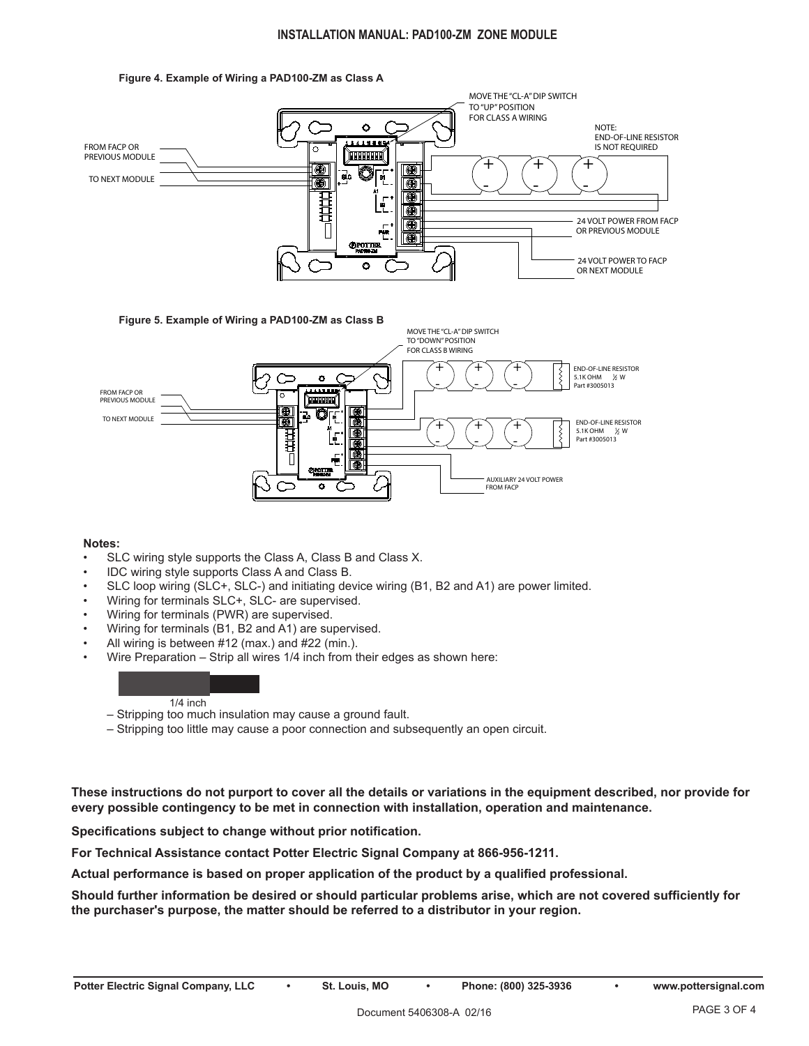### **INSTALLATION MANUAL: PAD100-ZM ZONE MODULE**







### **Notes:**

- SLC wiring style supports the Class A, Class B and Class X.
- IDC wiring style supports Class A and Class B.
- SLC loop wiring (SLC+, SLC-) and initiating device wiring (B1, B2 and A1) are power limited.
- Wiring for terminals SLC+, SLC- are supervised.
- Wiring for terminals (PWR) are supervised.
- Wiring for terminals (B1, B2 and A1) are supervised.
- All wiring is between #12 (max.) and #22 (min.).
- Wire Preparation Strip all wires 1/4 inch from their edges as shown here:

### 1/4 inch

- Stripping too much insulation may cause a ground fault.
- Stripping too little may cause a poor connection and subsequently an open circuit.

**These instructions do not purport to cover all the details or variations in the equipment described, nor provide for every possible contingency to be met in connection with installation, operation and maintenance.**

**Specifications subject to change without prior notification.**

**For Technical Assistance contact Potter Electric Signal Company at 866-956-1211.**

**Actual performance is based on proper application of the product by a qualified professional.**

**Should further information be desired or should particular problems arise, which are not covered sufficiently for the purchaser's purpose, the matter should be referred to a distributor in your region.**